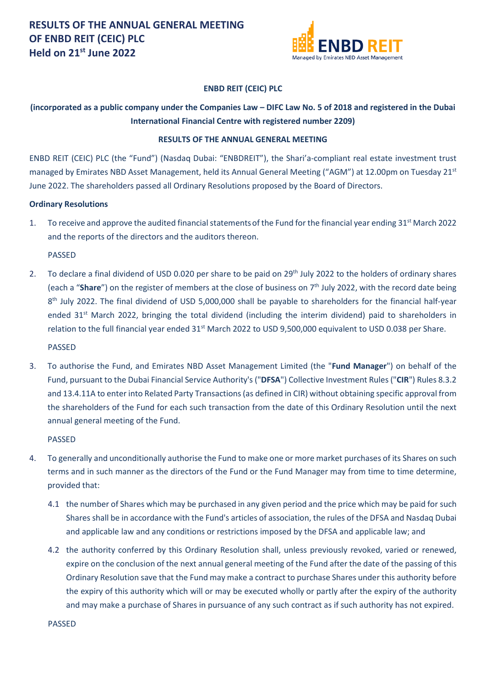

### **ENBD REIT (CEIC) PLC**

## **(incorporated as a public company under the Companies Law – DIFC Law No. 5 of 2018 and registered in the Dubai International Financial Centre with registered number 2209)**

#### **RESULTS OF THE ANNUAL GENERAL MEETING**

ENBD REIT (CEIC) PLC (the "Fund") (Nasdaq Dubai: "ENBDREIT"), the Shari'a-compliant real estate investment trust managed by Emirates NBD Asset Management, held its Annual General Meeting ("AGM") at 12.00pm on Tuesday 21st June 2022. The shareholders passed all Ordinary Resolutions proposed by the Board of Directors.

#### **Ordinary Resolutions**

1. To receive and approve the audited financial statements of the Fund for the financial year ending 31<sup>st</sup> March 2022 and the reports of the directors and the auditors thereon.

PASSED

2. To declare a final dividend of USD 0.020 per share to be paid on 29<sup>th</sup> July 2022 to the holders of ordinary shares (each a "**Share**") on the register of members at the close of business on 7<sup>th</sup> July 2022, with the record date being 8<sup>th</sup> July 2022. The final dividend of USD 5,000,000 shall be payable to shareholders for the financial half-year ended 31<sup>st</sup> March 2022, bringing the total dividend (including the interim dividend) paid to shareholders in relation to the full financial year ended 31<sup>st</sup> March 2022 to USD 9,500,000 equivalent to USD 0.038 per Share.

PASSED

3. To authorise the Fund, and Emirates NBD Asset Management Limited (the "**Fund Manager**") on behalf of the Fund, pursuant to the Dubai Financial Service Authority's ("**DFSA**") Collective Investment Rules ("**CIR**") Rules 8.3.2 and 13.4.11A to enter into Related Party Transactions (as defined in CIR) without obtaining specific approval from the shareholders of the Fund for each such transaction from the date of this Ordinary Resolution until the next annual general meeting of the Fund.

PASSED

- 4. To generally and unconditionally authorise the Fund to make one or more market purchases of its Shares on such terms and in such manner as the directors of the Fund or the Fund Manager may from time to time determine, provided that:
	- 4.1 the number of Shares which may be purchased in any given period and the price which may be paid for such Shares shall be in accordance with the Fund's articles of association, the rules of the DFSA and Nasdaq Dubai and applicable law and any conditions or restrictions imposed by the DFSA and applicable law; and
	- 4.2 the authority conferred by this Ordinary Resolution shall, unless previously revoked, varied or renewed, expire on the conclusion of the next annual general meeting of the Fund after the date of the passing of this Ordinary Resolution save that the Fund may make a contract to purchase Shares under this authority before the expiry of this authority which will or may be executed wholly or partly after the expiry of the authority and may make a purchase of Shares in pursuance of any such contract as if such authority has not expired.

PASSED